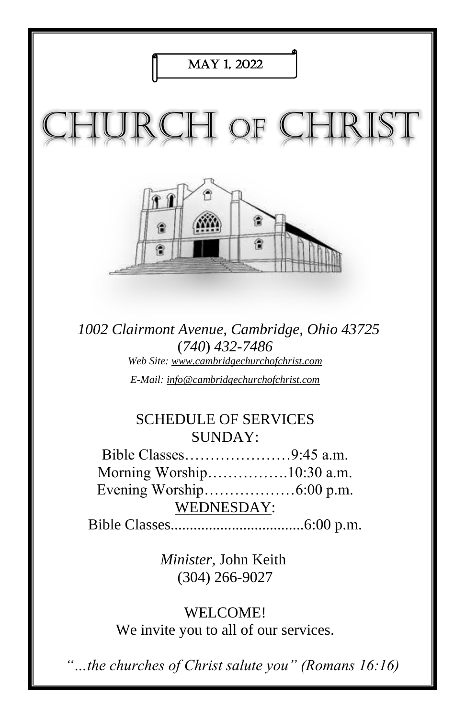

*1002 Clairmont Avenue, Cambridge, Ohio 43725* (*740*) *432-7486 Web Site: www.cambridgechurchofchrist.com E-Mail: info@cambridgechurchofchrist.com*

## SCHEDULE OF SERVICES SUNDAY:

Bible Classes…………………9:45 a.m. Morning Worship…………….10:30 a.m. Evening Worship………………6:00 p.m. WEDNESDAY:

Bible Classes...................................6:00 p.m.

*Minister,* John Keith (304) 266-9027

WELCOME! We invite you to all of our services.

*"…the churches of Christ salute you" (Romans 16:16)*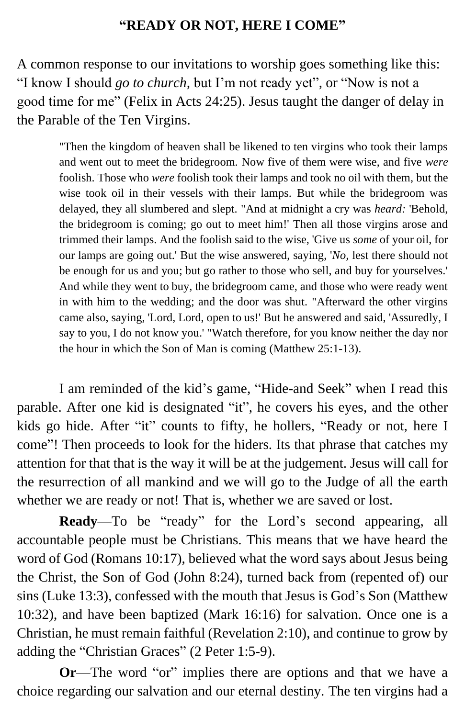### **"READY OR NOT, HERE I COME"**

A common response to our invitations to worship goes something like this: "I know I should *go to church,* but I'm not ready yet", or "Now is not a good time for me" (Felix in Acts 24:25). Jesus taught the danger of delay in the Parable of the Ten Virgins.

"Then the kingdom of heaven shall be likened to ten virgins who took their lamps and went out to meet the bridegroom. Now five of them were wise, and five *were* foolish. Those who *were* foolish took their lamps and took no oil with them, but the wise took oil in their vessels with their lamps. But while the bridegroom was delayed, they all slumbered and slept. "And at midnight a cry was *heard:* 'Behold, the bridegroom is coming; go out to meet him!' Then all those virgins arose and trimmed their lamps. And the foolish said to the wise, 'Give us *some* of your oil, for our lamps are going out.' But the wise answered, saying, '*No,* lest there should not be enough for us and you; but go rather to those who sell, and buy for yourselves.' And while they went to buy, the bridegroom came, and those who were ready went in with him to the wedding; and the door was shut. "Afterward the other virgins came also, saying, 'Lord, Lord, open to us!' But he answered and said, 'Assuredly, I say to you, I do not know you.' "Watch therefore, for you know neither the day nor the hour in which the Son of Man is coming (Matthew 25:1-13).

I am reminded of the kid's game, "Hide-and Seek" when I read this parable. After one kid is designated "it", he covers his eyes, and the other kids go hide. After "it" counts to fifty, he hollers, "Ready or not, here I come"! Then proceeds to look for the hiders. Its that phrase that catches my attention for that that is the way it will be at the judgement. Jesus will call for the resurrection of all mankind and we will go to the Judge of all the earth whether we are ready or not! That is, whether we are saved or lost.

**Ready**—To be "ready" for the Lord's second appearing, all accountable people must be Christians. This means that we have heard the word of God (Romans 10:17), believed what the word says about Jesus being the Christ, the Son of God (John 8:24), turned back from (repented of) our sins (Luke 13:3), confessed with the mouth that Jesus is God's Son (Matthew 10:32), and have been baptized (Mark 16:16) for salvation. Once one is a Christian, he must remain faithful (Revelation 2:10), and continue to grow by adding the "Christian Graces" (2 Peter 1:5-9).

**Or**—The word "or" implies there are options and that we have a choice regarding our salvation and our eternal destiny. The ten virgins had a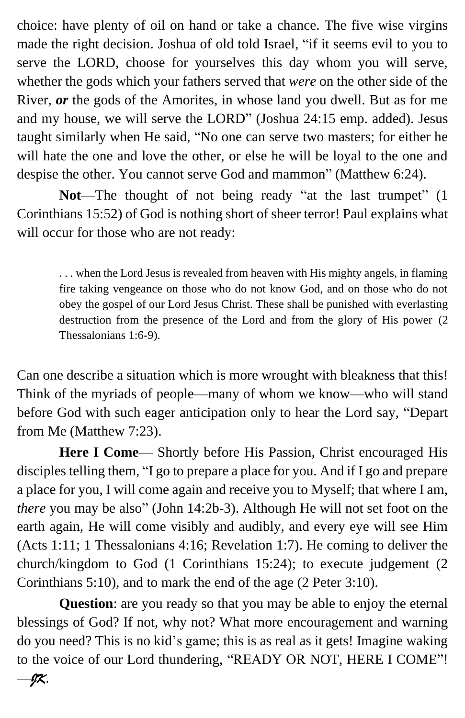choice: have plenty of oil on hand or take a chance. The five wise virgins made the right decision. Joshua of old told Israel, "if it seems evil to you to serve the LORD, choose for yourselves this day whom you will serve, whether the gods which your fathers served that *were* on the other side of the River, *or* the gods of the Amorites, in whose land you dwell. But as for me and my house, we will serve the LORD" (Joshua 24:15 emp. added). Jesus taught similarly when He said, "No one can serve two masters; for either he will hate the one and love the other, or else he will be loyal to the one and despise the other. You cannot serve God and mammon" (Matthew 6:24).

**Not**—The thought of not being ready "at the last trumpet" (1 Corinthians 15:52) of God is nothing short of sheer terror! Paul explains what will occur for those who are not ready:

. . . when the Lord Jesus is revealed from heaven with His mighty angels, in flaming fire taking vengeance on those who do not know God, and on those who do not obey the gospel of our Lord Jesus Christ. These shall be punished with everlasting destruction from the presence of the Lord and from the glory of His power (2 Thessalonians 1:6-9).

Can one describe a situation which is more wrought with bleakness that this! Think of the myriads of people—many of whom we know—who will stand before God with such eager anticipation only to hear the Lord say, "Depart from Me (Matthew 7:23).

**Here I Come**— Shortly before His Passion, Christ encouraged His disciples telling them, "I go to prepare a place for you. And if I go and prepare a place for you, I will come again and receive you to Myself; that where I am, *there* you may be also" (John 14:2b-3). Although He will not set foot on the earth again, He will come visibly and audibly, and every eye will see Him (Acts 1:11; 1 Thessalonians 4:16; Revelation 1:7). He coming to deliver the church/kingdom to God (1 Corinthians 15:24); to execute judgement (2 Corinthians 5:10), and to mark the end of the age (2 Peter 3:10).

**Question**: are you ready so that you may be able to enjoy the eternal blessings of God? If not, why not? What more encouragement and warning do you need? This is no kid's game; this is as real as it gets! Imagine waking to the voice of our Lord thundering, "READY OR NOT, HERE I COME"!